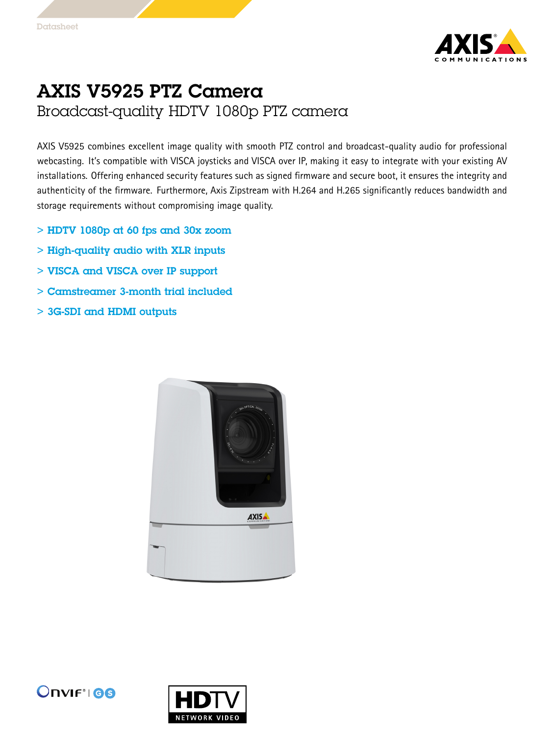

## AXIS V5925 PTZ Camera

Broadcast-quality HDTV 1080p PTZ camera

AXIS V5925 combines excellent image quality with smooth PTZ control and broadcast-quality audio for professional webcasting. It's compatible with VISCA joysticks and VISCA over IP, making it easy to integrate with your existing AV installations. Offering enhanced security features such as signed firmware and secure boot, it ensures the integrity and authenticity of the firmware. Furthermore, Axis Zipstream with H.264 and H.265 significantly reduces bandwidth and storage requirements without compromising image quality.

- $>$  HDTV 1080p at 60 fps and 30x zoom
- > High-quality audio with XLR inputs
- > VISCA and VISCA over IP support
- > Camstreamer 3-month trial included
- > 3G-SDI and HDMI outputs





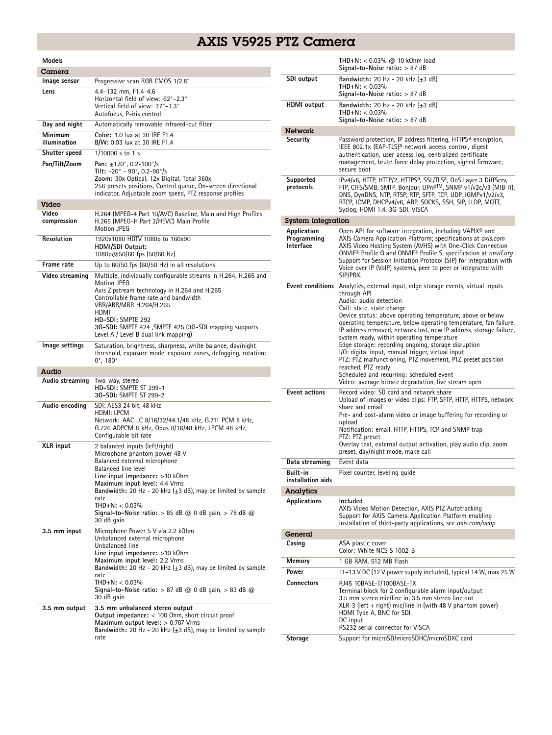## AXIS V5925 PTZ Camera

| Models                  |                                                                                                                                                                                                                                                                                                                                                                                 |
|-------------------------|---------------------------------------------------------------------------------------------------------------------------------------------------------------------------------------------------------------------------------------------------------------------------------------------------------------------------------------------------------------------------------|
| Camera                  |                                                                                                                                                                                                                                                                                                                                                                                 |
| Image sensor            | Progressive scan RGB CMOS 1/2.8"                                                                                                                                                                                                                                                                                                                                                |
| Lens                    | 4.4-132 mm, F1.4-4.6<br>Horizontal field of view: 62°-2.3°<br>Vertical field of view: 37°-1.3°<br>Autofocus, P-iris control                                                                                                                                                                                                                                                     |
| Day and night           | Automatically removable infrared-cut filter                                                                                                                                                                                                                                                                                                                                     |
| Minimum<br>illumination | Color: 1.0 lux at 30 IRE F1.4<br><b>B/W:</b> 0.03 lux at 30 IRE F1.4                                                                                                                                                                                                                                                                                                            |
| Shutter speed           | 1/10000 s to 1 s                                                                                                                                                                                                                                                                                                                                                                |
| Pan/Tilt/Zoom           | Pan: $\pm$ 170°, 0.2-100°/s<br>Tilt: -20° - 90°, 0.2-90°/s<br>Zoom: 30x Optical, 12x Digital, Total 360x<br>256 presets positions, Control queue, On-screen directional<br>indicator, Adjustable zoom speed, PTZ response profiles                                                                                                                                              |
| Video                   |                                                                                                                                                                                                                                                                                                                                                                                 |
| Video<br>compression    | H.264 (MPEG-4 Part 10/AVC) Baseline, Main and High Profiles<br>H.265 (MPEG-H Part 2/HEVC) Main Profile<br>Motion JPEG                                                                                                                                                                                                                                                           |
| <b>Resolution</b>       | 1920x1080 HDTV 1080p to 160x90<br>HDMI/SDI Output:<br>1080p@50/60 fps (50/60 Hz)                                                                                                                                                                                                                                                                                                |
| Frame rate              | Up to $60/50$ fps $(60/50$ Hz) in all resolutions                                                                                                                                                                                                                                                                                                                               |
| Video streaming         | Multiple, individually configurable streams in H.264, H.265 and<br>Motion JPEG<br>Axis Zipstream technology in H.264 and H.265<br>Controllable frame rate and bandwidth<br>VBR/ABR/MBR H.264/H.265<br>HDMI<br>HD-SDI: SMPTE 292<br>3G-SDI: SMPTE 424 , SMPTE 425 (3G-SDI mapping supports<br>Level A / Level B dual link mapping)                                               |
| lmage settings          | Saturation, brightness, sharpness, white balance, day/night<br>threshold, exposure mode, exposure zones, defogging, rotation:<br>$0^{\circ}$ , 180 $^{\circ}$                                                                                                                                                                                                                   |
| Audio                   |                                                                                                                                                                                                                                                                                                                                                                                 |
| Audio streaming         | Two-way, stereo<br>HD-SDI: SMPTE ST 299-1<br>3G-SDI: SMPTE ST 299-2                                                                                                                                                                                                                                                                                                             |
| Audio encoding          | SDI: AES3 24 bit, 48 kHz<br>HDMI: LPCM<br>Network: AAC LC 8/16/32/44.1/48 kHz, G.711 PCM 8 kHz,<br>G.726 ADPCM 8 kHz, Opus 8/16/48 kHz, LPCM 48 kHz,<br>Configurable bit rate                                                                                                                                                                                                   |
| <b>XLR</b> input        | 2 balanced inputs (left/right)<br>Microphone phantom power 48 V<br>Balanced external microphone<br>Balanced line level<br>Line input impedance: >10 kOhm<br>Maximum input level: 4.4 Vrms<br><b>Bandwidth:</b> 20 Hz - 20 kHz ( $\pm$ 3 dB), may be limited by sample<br>rate<br>$THD + N: < 0.03\%$<br>Signal-to-Noise ratio: $> 85$ dB @ 0 dB gain, $> 78$ dB @<br>30 dB gain |
| 3.5 mm input            | Microphone Power 5 V via 2.2 kOhm<br>Unbalanced external microphone<br>Unbalanced line<br>Line input impedance: >10 kOhm<br>Maximum input level: 2.2 Vrms<br>Bandwidth: 20 Hz - 20 kHz $(\pm 3$ dB), may be limited by sample<br>rate<br>$THD+N: < 0.03\%$<br>Signal-to-Noise ratio: $> 87$ dB @ 0 dB gain, $> 83$ dB @<br>30 dB gain                                           |
| 3.5 mm output           | 3.5 mm unbalanced stereo output<br><b>Output impedance:</b> < 100 Ohm, short circuit proof<br>Maximum output level: $> 0.707$ Vrms<br>Bandwidth: 20 Hz - 20 kHz $(\pm 3$ dB), may be limited by sample<br>rate                                                                                                                                                                  |

|                                                | THD+N: < $0.03\%$ @ 10 kOhm load<br>Signal-to-Noise ratio: $> 87$ dB                                                                                                                                                                                                                                                                                                                                                                                                                                                                                                                                                                                                                                                   |
|------------------------------------------------|------------------------------------------------------------------------------------------------------------------------------------------------------------------------------------------------------------------------------------------------------------------------------------------------------------------------------------------------------------------------------------------------------------------------------------------------------------------------------------------------------------------------------------------------------------------------------------------------------------------------------------------------------------------------------------------------------------------------|
| SDI output                                     | Bandwidth: 20 Hz - 20 kHz $(\pm 3$ dB)<br>$THD + N: < 0.03\%$                                                                                                                                                                                                                                                                                                                                                                                                                                                                                                                                                                                                                                                          |
|                                                | Signal-to-Noise ratio: $> 87$ dB                                                                                                                                                                                                                                                                                                                                                                                                                                                                                                                                                                                                                                                                                       |
| <b>HDMI</b> output                             | Bandwidth: 20 Hz - 20 kHz $(\pm 3$ dB)<br>$THD+N: < 0.03\%$<br>Signal-to-Noise ratio: $> 87$ dB                                                                                                                                                                                                                                                                                                                                                                                                                                                                                                                                                                                                                        |
|                                                |                                                                                                                                                                                                                                                                                                                                                                                                                                                                                                                                                                                                                                                                                                                        |
| Network<br>Security                            | Password protection, IP address filtering, HTTPS <sup>a</sup> encryption,                                                                                                                                                                                                                                                                                                                                                                                                                                                                                                                                                                                                                                              |
|                                                | IEEE 802.1x (EAP-TLS) <sup>a</sup> network access control, digest<br>authentication, user access log, centralized certificate<br>management, brute force delay protection, signed firmware,<br>secure boot                                                                                                                                                                                                                                                                                                                                                                                                                                                                                                             |
| Supported<br>protocols                         | IPv4/v6, HTTP, HTTP/2, HTTPS <sup>a</sup> , SSL/TLS <sup>a</sup> , QoS Layer 3 DiffServ,<br>FTP, CIFS/SMB, SMTP, Bonjour, UPnP™, SNMP v1/v2c/v3 (MIB-II),<br>DNS, DynDNS, NTP, RTSP, RTP, SFTP, TCP, UDP, IGMPv1/v2/v3,<br>RTCP, ICMP, DHCPv4/v6, ARP, SOCKS, SSH, SIP, LLDP, MQTT,<br>Syslog, HDMI 1.4, 3G-SDI, VISCA                                                                                                                                                                                                                                                                                                                                                                                                 |
| System integration                             |                                                                                                                                                                                                                                                                                                                                                                                                                                                                                                                                                                                                                                                                                                                        |
| Application<br>Programming<br><b>Interface</b> | Open API for software integration, including VAPIX <sup>®</sup> and<br>AXIS Camera Application Platform; specifications at axis.com<br>AXIS Video Hosting System (AVHS) with One-Click Connection<br>ONVIF <sup>®</sup> Profile G and ONVIF <sup>®</sup> Profile S, specification at onvif.org<br>Support for Session Initiation Protocol (SIP) for integration with<br>Voice over IP (VoIP) systems, peer to peer or integrated with<br>SIP/PBX.                                                                                                                                                                                                                                                                      |
|                                                | <b>Event conditions</b> Analytics, external input, edge storage events, virtual inputs<br>through API<br>Audio: audio detection<br>Call: state, state change<br>Device status: above operating temperature, above or below<br>operating temperature, below operating temperature, fan failure,<br>IP address removed, network lost, new IP address, storage failure,<br>system ready, within operating temperature<br>Edge storage: recording ongoing, storage disruption<br>I/O: digital input, manual trigger, virtual input<br>PTZ: PTZ malfunctioning, PTZ movement, PTZ preset position<br>reached, PTZ ready<br>Scheduled and recurring: scheduled event<br>Video: average bitrate degradation, live stream open |
| <b>Event actions</b>                           | Record video: SD card and network share<br>Upload of images or video clips: FTP, SFTP, HTTP, HTTPS, network<br>share and email<br>Pre- and post-alarm video or image buffering for recording or<br>upload<br>Notification: email, HTTP, HTTPS, TCP and SNMP trap<br>PTZ: PTZ preset<br>Overlay text, external output activation, play audio clip, zoom<br>preset, day/night mode, make call                                                                                                                                                                                                                                                                                                                            |
| Data streaming                                 | Event data                                                                                                                                                                                                                                                                                                                                                                                                                                                                                                                                                                                                                                                                                                             |
| Built-in                                       | Pixel counter, leveling guide                                                                                                                                                                                                                                                                                                                                                                                                                                                                                                                                                                                                                                                                                          |
| installation aids                              |                                                                                                                                                                                                                                                                                                                                                                                                                                                                                                                                                                                                                                                                                                                        |
| Analytics<br>Applications                      | Included<br>AXIS Video Motion Detection, AXIS PTZ Autotracking<br>Support for AXIS Camera Application Platform enabling<br>installation of third-party applications, see axis.com/acap                                                                                                                                                                                                                                                                                                                                                                                                                                                                                                                                 |
| General                                        |                                                                                                                                                                                                                                                                                                                                                                                                                                                                                                                                                                                                                                                                                                                        |
| Casing                                         | ASA plastic cover<br>Color: White NCS S 1002-B                                                                                                                                                                                                                                                                                                                                                                                                                                                                                                                                                                                                                                                                         |
| Memory                                         | 1 GB RAM, 512 MB Flash                                                                                                                                                                                                                                                                                                                                                                                                                                                                                                                                                                                                                                                                                                 |
| Power                                          | 11-13 V DC (12 V power supply included), typical 14 W, max 25 W                                                                                                                                                                                                                                                                                                                                                                                                                                                                                                                                                                                                                                                        |
| Connectors                                     | RJ45 10BASE-T/100BASE-TX<br>Terminal block for 2 configurable alarm input/output<br>3.5 mm stereo mic/line in, 3.5 mm stereo line out<br>$XLR-3$ (left + right) mic/line in (with 48 V phantom power)<br>HDMI Type A, BNC for SDI<br>DC input<br>RS232 serial connector for VISCA                                                                                                                                                                                                                                                                                                                                                                                                                                      |
| Storage                                        | Support for microSD/microSDHC/microSDXC card                                                                                                                                                                                                                                                                                                                                                                                                                                                                                                                                                                                                                                                                           |